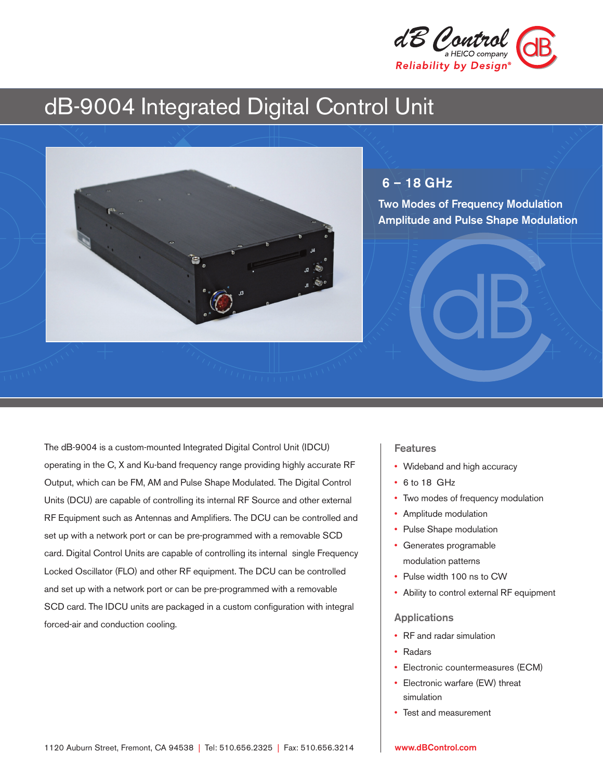

# dB-9004 Integrated Digital Control Unit



### 6 – 18 GHz

Two Modes of Frequency Modulation Amplitude and Pulse Shape Modulation

The dB-9004 is a custom-mounted Integrated Digital Control Unit (IDCU) operating in the C, X and Ku-band frequency range providing highly accurate RF Output, which can be FM, AM and Pulse Shape Modulated. The Digital Control Units (DCU) are capable of controlling its internal RF Source and other external RF Equipment such as Antennas and Amplifiers. The DCU can be controlled and set up with a network port or can be pre-programmed with a removable SCD card. Digital Control Units are capable of controlling its internal single Frequency Locked Oscillator (FLO) and other RF equipment. The DCU can be controlled and set up with a network port or can be pre-programmed with a removable SCD card. The IDCU units are packaged in a custom configuration with integral forced-air and conduction cooling.

#### Features

- Wideband and high accuracy
- 6 to 18 GHz
- Two modes of frequency modulation
- Amplitude modulation
- Pulse Shape modulation
- Generates programable modulation patterns
- Pulse width 100 ns to CW
- Ability to control external RF equipment

#### Applications

- RF and radar simulation
- Radars
- Electronic countermeasures (ECM)
- Electronic warfare (EW) threat simulation
- Test and measurement